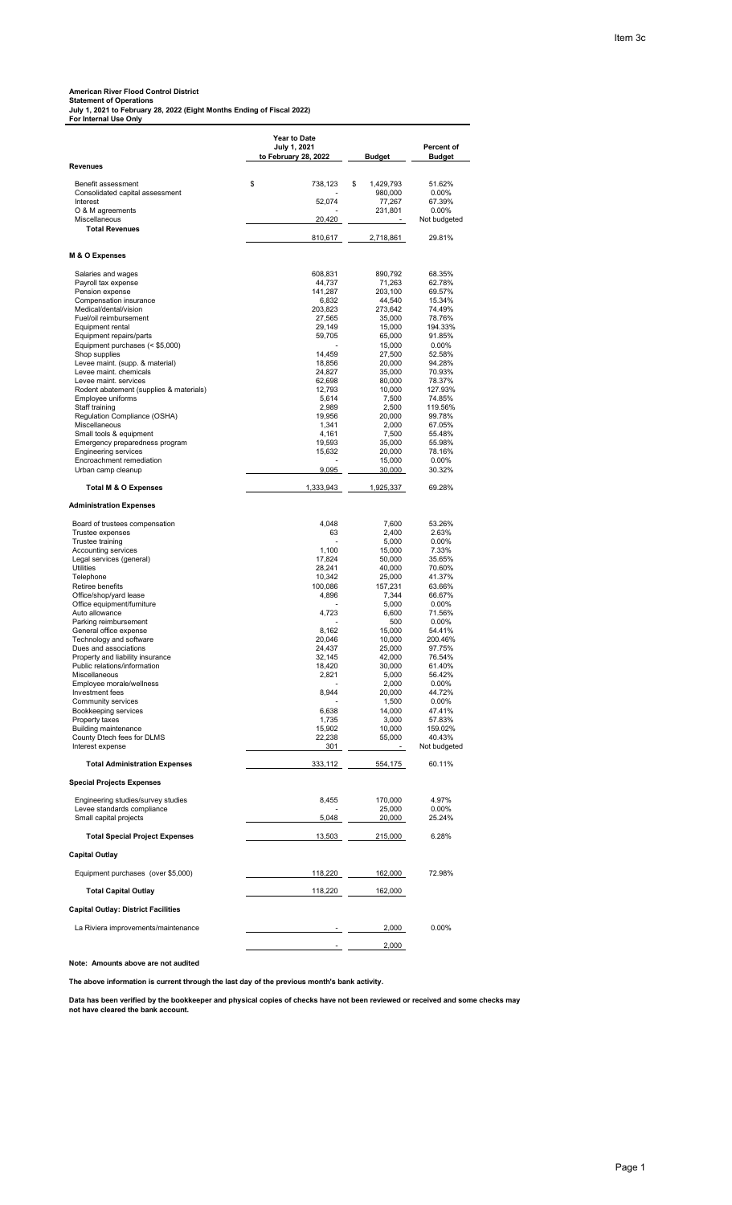**American River Flood Control District Statement of Operations July 1, 2021 to February 28, 2022 (Eight Months Ending of Fiscal 2022) For Internal Use Only**

|                                                           | <b>Year to Date</b><br>July 1, 2021 |                            | Percent of         |
|-----------------------------------------------------------|-------------------------------------|----------------------------|--------------------|
| <b>Revenues</b>                                           | to February 28, 2022                | <b>Budget</b>              | <b>Budget</b>      |
|                                                           |                                     |                            |                    |
| Benefit assessment<br>Consolidated capital assessment     | \$<br>738,123                       | \$<br>1,429,793<br>980,000 | 51.62%<br>$0.00\%$ |
| Interest                                                  | 52,074                              | 77,267                     | 67.39%             |
| O & M agreements                                          |                                     | 231,801                    | $0.00\%$           |
| Miscellaneous<br><b>Total Revenues</b>                    | 20,420                              | $\sim$                     | Not budgeted       |
|                                                           | 810,617                             | 2,718,861                  | 29.81%             |
|                                                           |                                     |                            |                    |
| M & O Expenses                                            |                                     |                            |                    |
| Salaries and wages                                        | 608,831                             | 890,792                    | 68.35%             |
| Payroll tax expense                                       | 44,737<br>141,287                   | 71,263<br>203,100          | 62.78%<br>69.57%   |
| Pension expense<br>Compensation insurance                 | 6,832                               | 44,540                     | 15.34%             |
| Medical/dental/vision                                     | 203,823                             | 273,642                    | 74.49%             |
| Fuel/oil reimbursement                                    | 27,565                              | 35,000                     | 78.76%             |
| Equipment rental<br>Equipment repairs/parts               | 29,149<br>59,705                    | 15,000<br>65,000           | 194.33%<br>91.85%  |
| Equipment purchases (< \$5,000)                           |                                     | 15,000                     | $0.00\%$           |
| Shop supplies                                             | 14,459                              | 27,500                     | 52.58%<br>94.28%   |
| Levee maint. (supp. & material)<br>Levee maint, chemicals | 18,856<br>24,827                    | 20,000<br>35,000           | 70.93%             |
| Levee maint. services                                     | 62,698                              | 80,000                     | 78.37%             |
| Rodent abatement (supplies & materials)                   | 12,793                              | 10,000                     | 127.93%            |
| Employee uniforms<br>Staff training                       | 5,614<br>2,989                      | 7,500<br>2,500             | 74.85%<br>119.56%  |
| Regulation Compliance (OSHA)                              | 19,956                              | 20,000                     | 99.78%             |
| Miscellaneous                                             | 1,341                               | 2,000                      | 67.05%             |
| Small tools & equipment<br>Emergency preparedness program | 4,161<br>19,593                     | 7,500<br>35,000            | 55.48%<br>55.98%   |
| <b>Engineering services</b>                               | 15,632                              | 20,000                     | 78.16%             |
| Encroachment remediation                                  |                                     | 15,000                     | $0.00\%$           |
| Urban camp cleanup                                        | 9.095                               | 30,000                     | 30.32%             |
| <b>Total M &amp; O Expenses</b>                           | 1,333,943                           | 1,925,337                  | 69.28%             |
| <b>Administration Expenses</b>                            |                                     |                            |                    |
| Board of trustees compensation                            | 4,048                               | 7,600                      | 53.26%             |
| Trustee expenses                                          | 63                                  | 2,400                      | 2.63%              |
| Trustee training<br><b>Accounting services</b>            | 1,100                               | 5,000<br>15,000            | $0.00\%$<br>7.33%  |
| Legal services (general)                                  | 17,824                              | 50,000                     | 35.65%             |
| Utilities                                                 | 28,241                              | 40,000                     | 70.60%             |
| Telephone<br>Retiree benefits                             | 10,342<br>100,086                   | 25,000<br>157,231          | 41.37%<br>63.66%   |
| Office/shop/yard lease                                    | 4,896                               | 7,344                      | 66.67%             |
| Office equipment/furniture                                |                                     | 5,000                      | $0.00\%$           |
| Auto allowance<br>Parking reimbursement                   | 4,723                               | 6,600<br>500               | 71.56%<br>$0.00\%$ |
| General office expense                                    | 8,162                               | 15,000                     | 54.41%             |
| Technology and software                                   | 20,046                              | 10,000                     | 200.46%            |
| Dues and associations<br>Property and liability insurance | 24,437<br>32,145                    | 25,000<br>42,000           | 97.75%<br>76.54%   |
| Public relations/information                              | 18,420                              | 30,000                     | 61.40%             |
| Miscellaneous                                             | 2,821                               | 5,000                      | 56.42%             |
| Employee morale/wellness<br>Investment fees               | 8,944                               | 2,000                      | 0.00%              |
| Community services                                        |                                     | 20,000<br>1,500            | 44.72%<br>0.00%    |
| Bookkeeping services                                      | 6,638                               | 14,000                     | 47.41%             |
| Property taxes                                            | 1,735                               | 3,000                      | 57.83%             |
| <b>Building maintenance</b><br>County Dtech fees for DLMS | 15,902<br>22,238                    | 10,000<br>55,000           | 159.02%<br>40.43%  |
| Interest expense                                          | 301                                 |                            | Not budgeted       |
| <b>Total Administration Expenses</b>                      | 333,112                             | 554,175                    | 60.11%             |
| <b>Special Projects Expenses</b>                          |                                     |                            |                    |
| Engineering studies/survey studies                        | 8,455                               | 170,000                    | 4.97%              |
| Levee standards compliance                                |                                     | 25,000                     | 0.00%              |
| Small capital projects                                    | 5,048                               | 20,000                     | 25.24%             |
| <b>Total Special Project Expenses</b>                     | 13,503                              | 215,000                    | 6.28%              |
| <b>Capital Outlay</b>                                     |                                     |                            |                    |
| Equipment purchases (over \$5,000)                        | 118,220                             | 162,000                    | 72.98%             |
| <b>Total Capital Outlay</b>                               | 118,220                             | 162,000                    |                    |
| <b>Capital Outlay: District Facilities</b>                |                                     |                            |                    |
| La Riviera improvements/maintenance                       |                                     | 2,000                      | 0.00%              |
|                                                           |                                     | 2,000                      |                    |
|                                                           |                                     |                            |                    |

**Note: Amounts above are not audited** 

**The above information is current through the last day of the previous month's bank activity.**

**Data has been verified by the bookkeeper and physical copies of checks have not been reviewed or received and some checks may not have cleared the bank account.**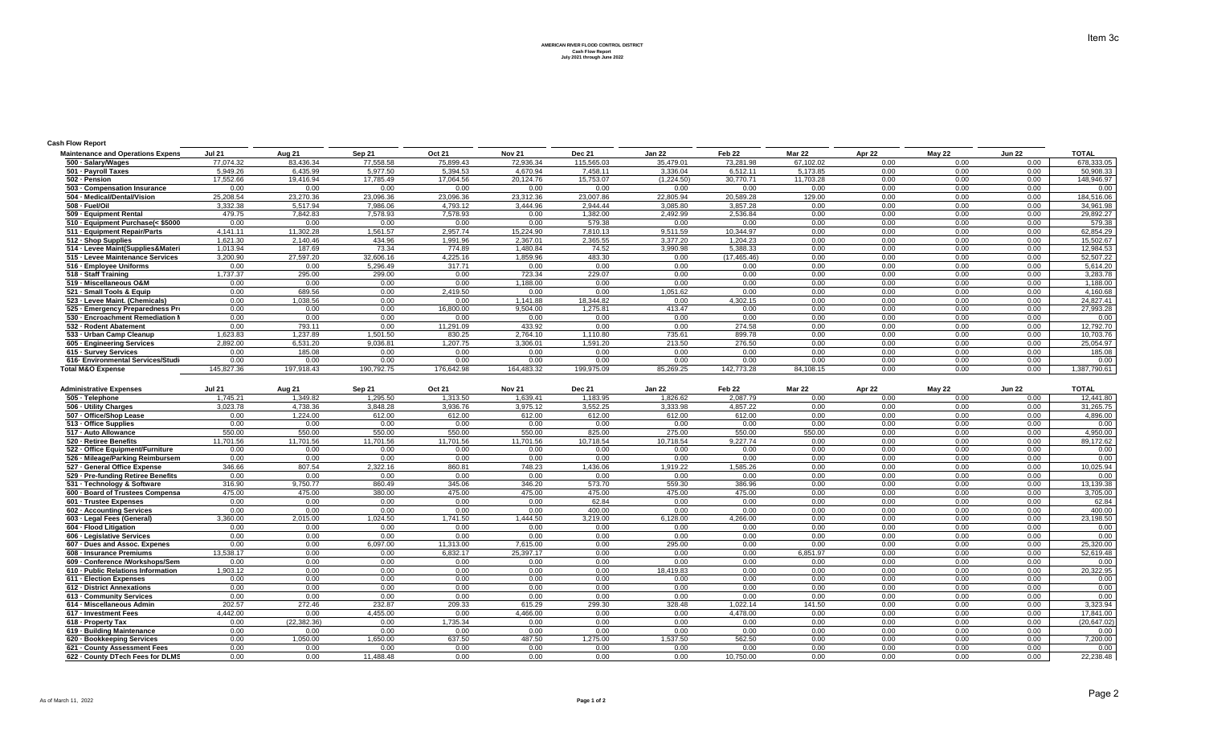**AMERICAN RIVER FLOOD CONTROL DISTRICT Cash Flow Report July 2021 through June 2022**

## **Cash Flow Report**

| <b>Maintenance and Operations Expens</b> | <b>Jul 21</b> | Aug 21     | <b>Sep 21</b> | Oct 21     | Nov <sub>21</sub> | Dec 21     | <b>Jan 22</b> | Feb 22       | <b>Mar 22</b> | Apr 22 | May 22 | <b>Jun 22</b> | <b>TOTAL</b> |
|------------------------------------------|---------------|------------|---------------|------------|-------------------|------------|---------------|--------------|---------------|--------|--------|---------------|--------------|
| 500 · Salary/Wages                       | 77.074.32     | 83,436.34  | 77,558.58     | 75,899.43  | 72,936.34         | 115,565.03 | 35,479.01     | 73,281.98    | 67,102.02     | 0.00   | 0.00   | 0.00          | 678,333.05   |
| 501 - Payroll Taxes                      | 5,949.26      | 6,435.99   | 5,977.50      | 5,394.53   | 4,670.94          | 7,458.11   | 3,336.04      | 6,512.11     | 5,173.85      | 0.00   | 0.00   | 0.00          | 50,908.33    |
| 502 - Pension                            | 17.552.66     | 19.416.94  | 17.785.49     | 17.064.56  | 20.124.76         | 15.753.07  | (1.224.50)    | 30.770.71    | 11.703.28     | 0.00   | 0.00   | 0.00          | 148,946.97   |
| 503 - Compensation Insurance             | 0.00          | 0.00       | 0.00          | 0.00       | 0.00              | 0.00       | 0.00          | 0.00         | 0.00          | 0.00   | 0.00   | 0.00          | 0.00         |
| 504 - Medical/Dental/Vision              | 25,208.54     | 23,270.36  | 23,096.36     | 23,096.36  | 23,312.36         | 23,007.86  | 22,805.94     | 20,589.28    | 129.00        | 0.00   | 0.00   | 0.00          | 184,516.06   |
| 508 - Fuel/Oil                           | 3,332.38      | 5,517.94   | 7,986.06      | 4,793.12   | 3,444.96          | 2,944.44   | 3,085.80      | 3,857.28     | 0.00          | 0.00   | 0.00   | 0.00          | 34,961.98    |
| 509 - Equipment Rental                   | 479.75        | 7.842.83   | 7.578.93      | 7.578.93   | 0.00              | 1.382.00   | 2.492.99      | 2.536.84     | 0.00          | 0.00   | 0.00   | 0.00          | 29,892.27    |
| 510 - Equipment Purchase(< \$5000        | 0.00          | 0.00       | 0.00          | 0.00       | 0.00              | 579.38     | 0.00          | 0.00         | 0.00          | 0.00   | 0.00   | 0.00          | 579.38       |
| 511 - Equipment Repair/Parts             | 4.141.11      | 11,302.28  | 1,561.57      | 2.957.74   | 15,224.90         | 7,810.13   | 9,511.59      | 10,344.97    | 0.00          | 0.00   | 0.00   | 0.00          | 62,854.29    |
| 512 - Shop Supplies                      | 1.621.30      | 2.140.46   | 434.96        | 1.991.96   | 2.367.01          | 2,365.55   | 3.377.20      | 1.204.23     | 0.00          | 0.00   | 0.00   | 0.00          | 15,502.67    |
| 514 - Levee Maint(Supplies&Materi        | 1,013.94      | 187.69     | 73.34         | 774.89     | 1,480.84          | 74.52      | 3,990.98      | 5,388.33     | 0.00          | 0.00   | 0.00   | 0.00          | 12,984.53    |
| 515 - Levee Maintenance Services         | 3,200.90      | 27,597.20  | 32,606.16     | 4.225.16   | 1.859.96          | 483.30     | 0.00          | (17, 465.46) | 0.00          | 0.00   | 0.00   | 0.00          | 52,507.22    |
| 516 - Employee Uniforms                  | 0.00          | 0.00       | 5,296.49      | 317.71     | 0.00              | 0.00       | 0.00          | 0.00         | 0.00          | 0.00   | 0.00   | 0.00          | 5,614.20     |
| 518 - Staff Training                     | 1.737.37      | 295.00     | 299.00        | 0.00       | 723.34            | 229.07     | 0.00          | 0.00         | 0.00          | 0.00   | 0.00   | 0.00          | 3,283.78     |
| 519 - Miscellaneous O&M                  | 0.00          | 0.00       | 0.00          | 0.00       | ,188.00           | 0.00       | 0.00          | 0.00         | 0.00          | 0.00   | 0.00   | 0.00          | 1,188.00     |
| 521 - Small Tools & Equip                | 0.00          | 689.56     | 0.00          | 2,419.50   | 0.00              | 0.00       | 1,051.62      | 0.00         | 0.00          | 0.00   | 0.00   | 0.00          | 4,160.68     |
| 523 - Levee Maint. (Chemicals)           | 0.00          | 1,038.56   | 0.00          | 0.00       | 1,141.88          | 18,344.82  | 0.00          | 4,302.15     | 0.00          | 0.00   | 0.00   | 0.00          | 24,827.41    |
| 525 - Emergency Preparedness Pro         | 0.00          | 0.00       | 0.00          | 16,800.00  | 9.504.00          | 1,275.81   | 413.47        | 0.00         | 0.00          | 0.00   | 0.00   | 0.00          | 27,993.28    |
| 530 - Encroachment Remediation M         | 0.00          | 0.00       | 0.00          | 0.00       | 0.00              | 0.00       | 0.00          | 0.00         | 0.00          | 0.00   | 0.00   | 0.00          | 0.00         |
| 532 - Rodent Abatement                   | 0.00          | 793.11     | 0.00          | 11,291.09  | 433.92            | 0.00       | 0.00          | 274.58       | 0.00          | 0.00   | 0.00   | 0.00          | 12,792.70    |
| 533 - Urban Camp Cleanup                 | 1,623.83      | 1,237.89   | 1,501.50      | 830.25     | 2,764.10          | 1,110.80   | 735.61        | 899.78       | 0.00          | 0.00   | 0.00   | 0.00          | 10,703.76    |
| 605 - Engineering Services               | 2.892.00      | 6,531.20   | 9,036.81      | 1,207.75   | 3.306.01          | 1,591.20   | 213.50        | 276.50       | 0.00          | 0.00   | 0.00   | 0.00          | 25,054.97    |
| 615 - Survey Services                    | 0.00          | 185.08     | 0.00          | 0.00       | 0.00              | 0.00       | 0.00          | 0.00         | 0.00          | 0.00   | 0.00   | 0.00          | 185.08       |
| 616- Environmental Services/Studi        | 0.00          | 0.00       | 0.00          | 0.00       | 0.00              | 0.00       | 0.00          | 0.00         | 0.00          | 0.00   | 0.00   | 0.00          | 0.00         |
| <b>Total M&amp;O Expense</b>             | 145.827.36    | 197.918.43 | 190.792.75    | 176.642.98 | 164.483.32        | 199.975.09 | 85.269.25     | 142.773.28   | 84.108.15     | 0.00   | 0.00   | 0.00          | 1,387,790.61 |

| <b>Administrative Expenses</b>     | <b>Jul 21</b> | Aug 21        | Sep 21    | <b>Oct 21</b> | <b>Nov 21</b> | <b>Dec 21</b> | <b>Jan 22</b> | Feb <sub>22</sub> | <b>Mar 22</b> | Apr 22 | May 22 | <b>Jun 22</b> | <b>TOTAL</b> |
|------------------------------------|---------------|---------------|-----------|---------------|---------------|---------------|---------------|-------------------|---------------|--------|--------|---------------|--------------|
| 505 - Telephone                    | 1.745.21      | 1.349.82      | 1.295.50  | 1.313.50      | 1.639.41      | 1.183.95      | 1.826.62      | 2.087.79          | 0.00          | 0.00   | 0.00   | 0.00          | 12.441.80    |
| 506 - Utility Charges              | 3,023.78      | 4.738.36      | 3,848.28  | 3,936.76      | 3,975.12      | 3,552.25      | 3,333.98      | 4.857.22          | 0.00          | 0.00   | 0.00   | 0.00          | 31,265.75    |
| 507 - Office/Shop Lease            | 0.00          | 1.224.00      | 612.00    | 612.00        | 612.00        | 612.00        | 612.00        | 612.00            | 0.00          | 0.00   | 0.00   | 0.00          | 4.896.00     |
| 513 - Office Supplies              | 0.00          | 0.00          | 0.00      | 0.00          | 0.00          | 0.00          | 0.00          | 0.00              | 0.00          | 0.00   | 0.00   | 0.00          | 0.00         |
| 517 - Auto Allowance               | 550.00        | 550.00        | 550.00    | 550.00        | 550.00        | 825.00        | 275.00        | 550.00            | 550.00        | 0.00   | 0.00   | 0.00          | 4,950.00     |
| 520 - Retiree Benefits             | 11.701.56     | 11.701.56     | 11.701.56 | 11.701.56     | 11.701.56     | 10.718.54     | 10.718.54     | 9.227.74          | 0.00          | 0.00   | 0.00   | 0.00          | 89,172.62    |
| 522 - Office Equipment/Furniture   | 0.00          | 0.00          | 0.00      | 0.00          | 0.00          | 0.00          | 0.00          | 0.00              | 0.00          | 0.00   | 0.00   | 0.00          | 0.00         |
| 526 - Mileage/Parking Reimbursem   | 0.00          | 0.00          | 0.00      | 0.00          | 0.00          | 0.00          | 0.00          | 0.00              | 0.00          | 0.00   | 0.00   | 0.00          | 0.00         |
| 527 - General Office Expense       | 346.66        | 807.54        | 2,322.16  | 860.81        | 748.23        | 1,436.06      | 1,919.22      | 1,585.26          | 0.00          | 0.00   | 0.00   | 0.00          | 10,025.94    |
| 529 - Pre-funding Retiree Benefits | 0.00          | 0.00          | 0.00      | 0.00          | 0.00          | 0.00          | 0.00          | 0.00              | 0.00          | 0.00   | 0.00   | 0.00          | 0.00         |
| 531 - Technology & Software        | 316.90        | 9,750.77      | 860.49    | 345.06        | 346.20        | 573.70        | 559.30        | 386.96            | 0.00          | 0.00   | 0.00   | 0.00          | 13,139.38    |
| 600 - Board of Trustees Compensa   | 475.00        | 475.00        | 380.00    | 475.00        | 475.00        | 475.00        | 475.00        | 475.00            | 0.00          | 0.00   | 0.00   | 0.00          | 3,705.00     |
| 601 - Trustee Expenses             | 0.00          | 0.00          | 0.00      | 0.00          | 0.00          | 62.84         | 0.00          | 0.00              | 0.00          | 0.00   | 0.00   | 0.00          | 62.84        |
| 602 - Accounting Services          | 0.00          | 0.00          | 0.00      | 0.00          | 0.00          | 400.00        | 0.00          | 0.00              | 0.00          | 0.00   | 0.00   | 0.00          | 400.00       |
| 603 - Legal Fees (General)         | 3.360.00      | 2.015.00      | 1.024.50  | 1.741.50      | 1.444.50      | 3.219.00      | 6.128.00      | 4.266.00          | 0.00          | 0.00   | 0.00   | 0.00          | 23,198.50    |
| 604 - Flood Litigation             | 0.00          | 0.00          | 0.00      | 0.00          | 0.00          | 0.00          | 0.00          | 0.00              | 0.00          | 0.00   | 0.00   | 0.00          | 0.00         |
| 606 - Legislative Services         | 0.00          | 0.00          | 0.00      | 0.00          | 0.00          | 0.00          | 0.00          | 0.00              | 0.00          | 0.00   | 0.00   | 0.00          | 0.00         |
| 607 - Dues and Assoc. Expenes      | 0.00          | 0.00          | 6.097.00  | 11.313.00     | 7.615.00      | 0.00          | 295.00        | 0.00              | 0.00          | 0.00   | 0.00   | 0.00          | 25,320,00    |
| 608 - Insurance Premiums           | 13.538.17     | 0.00          | 0.00      | 6,832.17      | 25,397.17     | 0.00          | 0.00          | 0.00              | 6.851.97      | 0.00   | 0.00   | 0.00          | 52,619.48    |
| 609 - Conference /Workshops/Sem    | 0.00          | 0.00          | 0.00      | 0.00          | 0.00          | 0.00          | 0.00          | 0.00              | 0.00          | 0.00   | 0.00   | 0.00          | 0.00         |
| 610 - Public Relations Information | 1.903.12      | 0.00          | 0.00      | 0.00          | 0.00          | 0.00          | 18,419.83     | 0.00              | 0.00          | 0.00   | 0.00   | 0.00          | 20,322.95    |
| 611 - Election Expenses            | 0.00          | 0.00          | 0.00      | 0.00          | 0.00          | 0.00          | 0.00          | 0.00              | 0.00          | 0.00   | 0.00   | 0.00          | 0.00         |
| 612 - District Annexations         | 0.00          | 0.00          | 0.00      | 0.00          | 0.00          | 0.00          | 0.00          | 0.00              | 0.00          | 0.00   | 0.00   | 0.00          | 0.00         |
| 613 - Community Services           | 0.00          | 0.00          | 0.00      | 0.00          | 0.00          | 0.00          | 0.00          | 0.00              | 0.00          | 0.00   | 0.00   | 0.00          | 0.00         |
| 614 - Miscellaneous Admin          | 202.57        | 272.46        | 232.87    | 209.33        | 615.29        | 299.30        | 328.48        | 1,022.14          | 141.50        | 0.00   | 0.00   | 0.00          | 3,323.94     |
| 617 - Investment Fees              | 4.442.00      | 0.00          | 4.455.00  | 0.00          | 4.466.00      | 0.00          | 0.00          | 4.478.00          | 0.00          | 0.00   | 0.00   | 0.00          | 17.841.00    |
| 618 - Property Tax                 | 0.00          | (22, 382, 36) | 0.00      | 1,735.34      | 0.00          | 0.00          | 0.00          | 0.00              | 0.00          | 0.00   | 0.00   | 0.00          | (20, 647.02) |
| 619 - Building Maintenance         | 0.00          | 0.00          | 0.00      | 0.00          | 0.00          | 0.00          | 0.00          | 0.00              | 0.00          | 0.00   | 0.00   | 0.00          | 0.00         |
| 620 - Bookkeeping Services         | 0.00          | 1,050.00      | 1.650.00  | 637.50        | 487.50        | 1.275.00      | 1,537.50      | 562.50            | 0.00          | 0.00   | 0.00   | 0.00          | 7,200.00     |
| 621 - County Assessment Fees       | 0.00          | 0.00          | 0.00      | 0.00          | 0.00          | 0.00          | 0.00          | 0.00              | 0.00          | 0.00   | 0.00   | 0.00          | 0.00         |
| 622 - County DTech Fees for DLMS   | 0.00          | 0.00          | 11.488.48 | 0.00          | 0.00          | 0.00          | 0.00          | 10.750.00         | 0.00          | 0.00   | 0.00   | 0.00          | 22,238.48    |